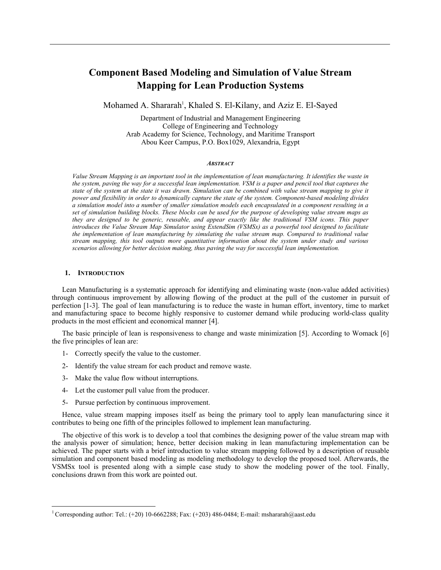# **Component Based Modeling and Simulation of Value Stream Mapping for Lean Production Systems**

Mohamed A. Shararah<sup>1</sup>, Khaled S. El-Kilany, and Aziz E. El-Sayed

Department of Industrial and Management Engineering College of Engineering and Technology Arab Academy for Science, Technology, and Maritime Transport Abou Keer Campus, P.O. Box1029, Alexandria, Egypt

#### *ABSTRACT*

*Value Stream Mapping is an important tool in the implementation of lean manufacturing. It identifies the waste in the system, paving the way for a successful lean implementation. VSM is a paper and pencil tool that captures the state of the system at the state it was drawn. Simulation can be combined with value stream mapping to give it power and flexibility in order to dynamically capture the state of the system. Component-based modeling divides a simulation model into a number of smaller simulation models each encapsulated in a component resulting in a set of simulation building blocks. These blocks can be used for the purpose of developing value stream maps as they are designed to be generic, reusable, and appear exactly like the traditional VSM icons. This paper introduces the Value Stream Map Simulator using ExtendSim (VSMSx) as a powerful tool designed to facilitate the implementation of lean manufacturing by simulating the value stream map. Compared to traditional value stream mapping, this tool outputs more quantitative information about the system under study and various scenarios allowing for better decision making, thus paving the way for successful lean implementation.* 

#### **1. INTRODUCTION**

 $\overline{a}$ 

Lean Manufacturing is a systematic approach for identifying and eliminating waste (non-value added activities) through continuous improvement by allowing flowing of the product at the pull of the customer in pursuit of perfection [1-3]. The goal of lean manufacturing is to reduce the waste in human effort, inventory, time to market and manufacturing space to become highly responsive to customer demand while producing world-class quality products in the most efficient and economical manner [4].

The basic principle of lean is responsiveness to change and waste minimization [5]. According to Womack [6] the five principles of lean are:

- 1- Correctly specify the value to the customer.
- 2- Identify the value stream for each product and remove waste.
- 3- Make the value flow without interruptions.
- 4- Let the customer pull value from the producer.
- 5- Pursue perfection by continuous improvement.

Hence, value stream mapping imposes itself as being the primary tool to apply lean manufacturing since it contributes to being one fifth of the principles followed to implement lean manufacturing.

The objective of this work is to develop a tool that combines the designing power of the value stream map with the analysis power of simulation; hence, better decision making in lean manufacturing implementation can be achieved. The paper starts with a brief introduction to value stream mapping followed by a description of reusable simulation and component based modeling as modeling methodology to develop the proposed tool. Afterwards, the VSMSx tool is presented along with a simple case study to show the modeling power of the tool. Finally, conclusions drawn from this work are pointed out.

<sup>&</sup>lt;sup>1</sup> Corresponding author: Tel.: (+20) 10-6662288; Fax: (+203) 486-0484; E-mail: mshararah@aast.edu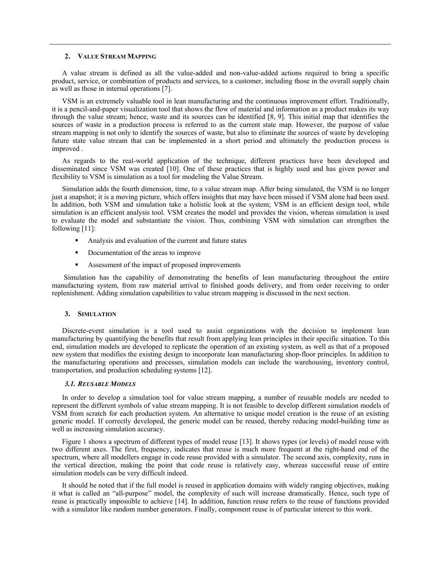#### **2. VALUE STREAM MAPPING**

A value stream is defined as all the value-added and non-value-added actions required to bring a specific product, service, or combination of products and services, to a customer, including those in the overall supply chain as well as those in internal operations [7].

VSM is an extremely valuable tool in lean manufacturing and the continuous improvement effort. Traditionally, it is a pencil-and-paper visualization tool that shows the flow of material and information as a product makes its way through the value stream; hence, waste and its sources can be identified [8, 9]. This initial map that identifies the sources of waste in a production process is referred to as the current state map. However, the purpose of value stream mapping is not only to identify the sources of waste, but also to eliminate the sources of waste by developing future state value stream that can be implemented in a short period and ultimately the production process is improved .

As regards to the real-world application of the technique, different practices have been developed and disseminated since VSM was created [10]. One of these practices that is highly used and has given power and flexibility to VSM is simulation as a tool for modeling the Value Stream.

Simulation adds the fourth dimension, time, to a value stream map. After being simulated, the VSM is no longer just a snapshot; it is a moving picture, which offers insights that may have been missed if VSM alone had been used. In addition, both VSM and simulation take a holistic look at the system; VSM is an efficient design tool, while simulation is an efficient analysis tool. VSM creates the model and provides the vision, whereas simulation is used to evaluate the model and substantiate the vision. Thus, combining VSM with simulation can strengthen the following [11]:

- ! Analysis and evaluation of the current and future states
- ! Documentation of the areas to improve
- Assessment of the impact of proposed improvements

 Simulation has the capability of demonstrating the benefits of lean manufacturing throughout the entire manufacturing system, from raw material arrival to finished goods delivery, and from order receiving to order replenishment. Adding simulation capabilities to value stream mapping is discussed in the next section.

### **3. SIMULATION**

Discrete-event simulation is a tool used to assist organizations with the decision to implement lean manufacturing by quantifying the benefits that result from applying lean principles in their specific situation. To this end, simulation models are developed to replicate the operation of an existing system, as well as that of a proposed new system that modifies the existing design to incorporate lean manufacturing shop-floor principles. In addition to the manufacturing operations and processes, simulation models can include the warehousing, inventory control, transportation, and production scheduling systems [12].

#### *3.1. REUSABLE MODELS*

In order to develop a simulation tool for value stream mapping, a number of reusable models are needed to represent the different symbols of value stream mapping. It is not feasible to develop different simulation models of VSM from scratch for each production system. An alternative to unique model creation is the reuse of an existing generic model. If correctly developed, the generic model can be reused, thereby reducing model-building time as well as increasing simulation accuracy.

Figure 1 shows a spectrum of different types of model reuse [13]. It shows types (or levels) of model reuse with two different axes. The first, frequency, indicates that reuse is much more frequent at the right-hand end of the spectrum, where all modellers engage in code reuse provided with a simulator. The second axis, complexity, runs in the vertical direction, making the point that code reuse is relatively easy, whereas successful reuse of entire simulation models can be very difficult indeed.

It should be noted that if the full model is reused in application domains with widely ranging objectives, making it what is called an "all-purpose" model, the complexity of such will increase dramatically. Hence, such type of reuse is practically impossible to achieve [14]. In addition, function reuse refers to the reuse of functions provided with a simulator like random number generators. Finally, component reuse is of particular interest to this work.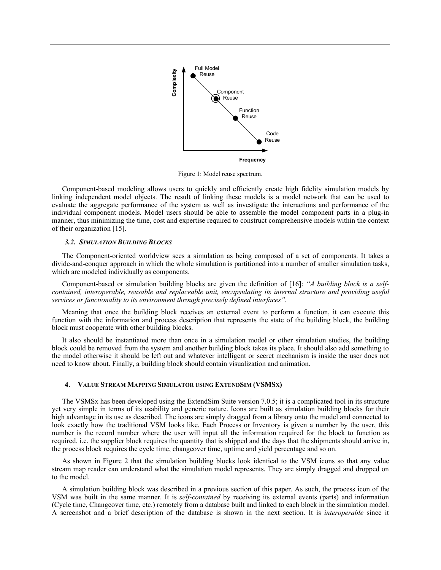

Figure 1: Model reuse spectrum.

Component-based modeling allows users to quickly and efficiently create high fidelity simulation models by linking independent model objects. The result of linking these models is a model network that can be used to evaluate the aggregate performance of the system as well as investigate the interactions and performance of the individual component models. Model users should be able to assemble the model component parts in a plug-in manner, thus minimizing the time, cost and expertise required to construct comprehensive models within the context of their organization [15].

#### *3.2. SIMULATION BUILDING BLOCKS*

The Component-oriented worldview sees a simulation as being composed of a set of components. It takes a divide-and-conquer approach in which the whole simulation is partitioned into a number of smaller simulation tasks, which are modeled individually as components.

Component-based or simulation building blocks are given the definition of [16]: *"A building block is a selfcontained, interoperable, reusable and replaceable unit, encapsulating its internal structure and providing useful services or functionality to its environment through precisely defined interfaces".* 

Meaning that once the building block receives an external event to perform a function, it can execute this function with the information and process description that represents the state of the building block, the building block must cooperate with other building blocks.

It also should be instantiated more than once in a simulation model or other simulation studies, the building block could be removed from the system and another building block takes its place. It should also add something to the model otherwise it should be left out and whatever intelligent or secret mechanism is inside the user does not need to know about. Finally, a building block should contain visualization and animation.

#### **4. VALUE STREAM MAPPING SIMULATOR USING EXTENDSIM (VSMSX)**

The VSMSx has been developed using the ExtendSim Suite version 7.0.5; it is a complicated tool in its structure yet very simple in terms of its usability and generic nature. Icons are built as simulation building blocks for their high advantage in its use as described. The icons are simply dragged from a library onto the model and connected to look exactly how the traditional VSM looks like. Each Process or Inventory is given a number by the user, this number is the record number where the user will input all the information required for the block to function as required. i.e. the supplier block requires the quantity that is shipped and the days that the shipments should arrive in, the process block requires the cycle time, changeover time, uptime and yield percentage and so on.

As shown in Figure 2 that the simulation building blocks look identical to the VSM icons so that any value stream map reader can understand what the simulation model represents. They are simply dragged and dropped on to the model.

A simulation building block was described in a previous section of this paper. As such, the process icon of the VSM was built in the same manner. It is *self-contained* by receiving its external events (parts) and information (Cycle time, Changeover time, etc.) remotely from a database built and linked to each block in the simulation model. A screenshot and a brief description of the database is shown in the next section. It is *interoperable* since it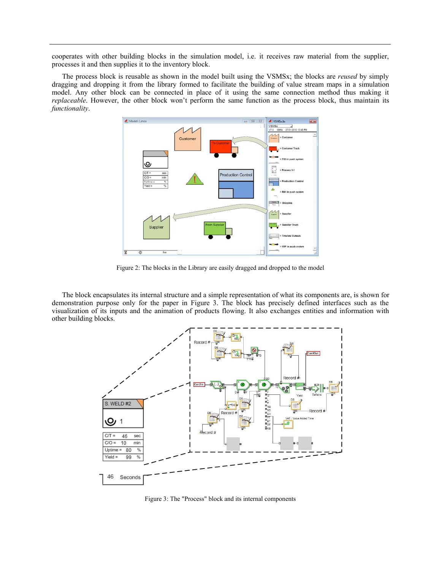cooperates with other building blocks in the simulation model, i.e. it receives raw material from the supplier, processes it and then supplies it to the inventory block.

The process block is reusable as shown in the model built using the VSMSx; the blocks are *reused* by simply dragging and dropping it from the library formed to facilitate the building of value stream maps in a simulation model. Any other block can be connected in place of it using the same connection method thus making it *replaceable*. However, the other block won't perform the same function as the process block, thus maintain its *functionality*.



Figure 2: The blocks in the Library are easily dragged and dropped to the model

The block encapsulates its internal structure and a simple representation of what its components are, is shown for demonstration purpose only for the paper in Figure 3. The block has precisely defined interfaces such as the visualization of its inputs and the animation of products flowing. It also exchanges entities and information with other building blocks.



Figure 3: The "Process" block and its internal components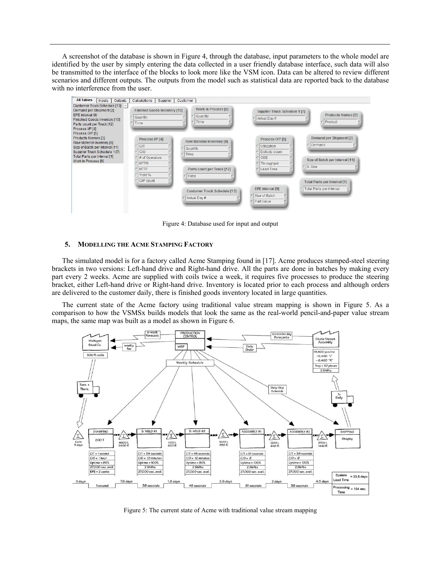A screenshot of the database is shown in Figure 4, through the database, input parameters to the whole model are identified by the user by simply entering the data collected in a user friendly database interface, such data will also be transmitted to the interface of the blocks to look more like the VSM icon. Data can be altered to review different scenarios and different outputs. The outputs from the model such as statistical data are reported back to the database with no interference from the user.



Figure 4: Database used for input and output

#### **5. MODELLING THE ACME STAMPING FACTORY**

The simulated model is for a factory called Acme Stamping found in [17]. Acme produces stamped-steel steering brackets in two versions: Left-hand drive and Right-hand drive. All the parts are done in batches by making every part every 2 weeks. Acme are supplied with coils twice a week, it requires five processes to produce the steering bracket, either Left-hand drive or Right-hand drive. Inventory is located prior to each process and although orders are delivered to the customer daily, there is finished goods inventory located in large quantities.

The current state of the Acme factory using traditional value stream mapping is shown in Figure 5. As a comparison to how the VSMSx builds models that look the same as the real-world pencil-and-paper value stream maps, the same map was built as a model as shown in Figure 6.



Figure 5: The current state of Acme with traditional value stream mapping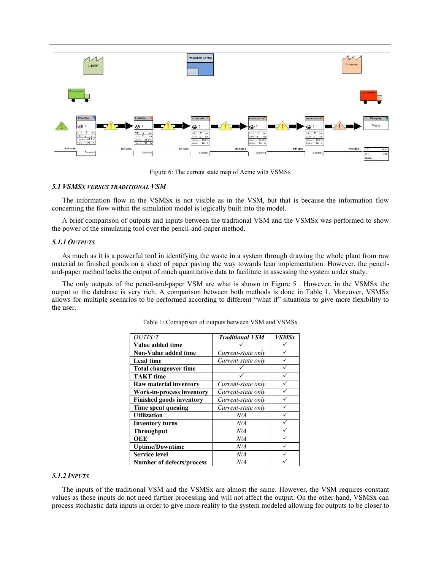

Figure 6: The current state map of Acme with VSMSx

# *5.1 VSMSX VERSUS TRADITIONAL VSM*

The information flow in the VSMSx is not visible as in the VSM, but that is because the information flow concerning the flow within the simulation model is logically built into the model.

A brief comparison of outputs and inputs between the traditional VSM and the VSMSx was performed to show the power of the simulating tool over the pencil-and-paper method.

## *5.1.1 OUTPUTS*

As much as it is a powerful tool in identifying the waste in a system through drawing the whole plant from raw material to finished goods on a sheet of paper paving the way towards lean implementation. However, the penciland-paper method lacks the output of much quantitative data to facilitate in assessing the system under study.

The only outputs of the pencil-and-paper VSM are what is shown in Figure 5 . However, in the VSMSx the output to the database is very rich. A comparison between both methods is done in Table 1. Moreover, VSMSx allows for multiple scenarios to be performed according to different "what if" situations to give more flexibility to the user.

| <b>OUTPUT</b>                    | <b>Traditional VSM</b> | <b>VSMSx</b> |
|----------------------------------|------------------------|--------------|
| Value added time                 |                        |              |
| Non-Value added time             | Current-state only     |              |
| <b>Lead time</b>                 | Current-state only     |              |
| <b>Total changeover time</b>     |                        |              |
| <b>TAKT</b> time                 |                        |              |
| Raw material inventory           | Current-state only     |              |
| Work-in-process inventory        | Current-state only     |              |
| <b>Finished goods inventory</b>  | Current-state only     |              |
| Time spent queuing               | Current-state only     |              |
| <b>Utilization</b>               | N/A                    |              |
| <b>Inventory turns</b>           | N/A                    |              |
| <b>Throughput</b>                | N/A                    |              |
| <b>OEE</b>                       | N/A                    |              |
| <b>Uptime/Downtime</b>           | N/A                    |              |
| <b>Service level</b>             | N/A                    |              |
| <b>Number of defects/process</b> | N/A                    |              |

Table 1: Comaprison of outputs between VSM and VSMSx

# *5.1.2 INPUTS*

The inputs of the traditional VSM and the VSMSx are almost the same. However, the VSM requires constant values as those inputs do not need further processing and will not affect the output. On the other hand, VSMSx can process stochastic data inputs in order to give more reality to the system modeled allowing for outputs to be closer to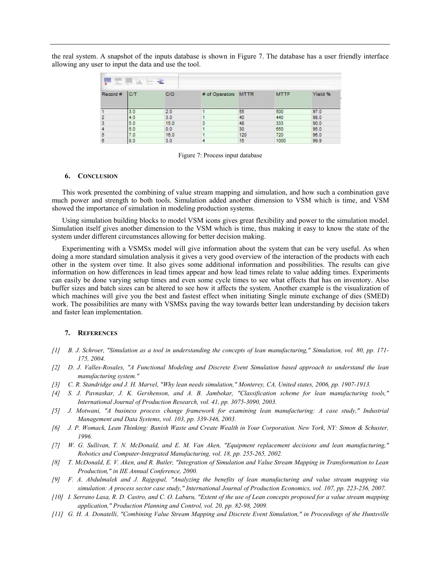the real system. A snapshot of the inputs database is shown in Figure 7. The database has a user friendly interface allowing any user to input the data and use the tool.

| ₽<br>$\equiv$<br>五氯区<br>æ |     |      |                     |     |             |         |  |  |
|---------------------------|-----|------|---------------------|-----|-------------|---------|--|--|
| Record #                  | C/T | C/O  | # of Operators MTTR |     | <b>MTTF</b> | Yield % |  |  |
|                           | 3.0 | 2.0  |                     | 55  | 500         | 97.0    |  |  |
|                           | 4.0 | 3.0  |                     | 40  | 440         | 98.0    |  |  |
| 3                         | 5.0 | 15.0 | 3                   | 48  | 333         | 90.0    |  |  |
|                           | 5.0 | 0.0  |                     | 30  | 650         | 95.0    |  |  |
| 5                         | 7.0 | 16.0 |                     | 120 | 720         | 96.0    |  |  |
| 8                         | 8.0 | 3.0  |                     | 15  | 1000        | 99.9    |  |  |

Figure 7: Process input database

#### **6. CONCLUSION**

This work presented the combining of value stream mapping and simulation, and how such a combination gave much power and strength to both tools. Simulation added another dimension to VSM which is time, and VSM showed the importance of simulation in modeling production systems.

Using simulation building blocks to model VSM icons gives great flexibility and power to the simulation model. Simulation itself gives another dimension to the VSM which is time, thus making it easy to know the state of the system under different circumstances allowing for better decision making.

Experimenting with a VSMSx model will give information about the system that can be very useful. As when doing a more standard simulation analysis it gives a very good overview of the interaction of the products with each other in the system over time. It also gives some additional information and possibilities. The results can give information on how differences in lead times appear and how lead times relate to value adding times. Experiments can easily be done varying setup times and even some cycle times to see what effects that has on inventory. Also buffer sizes and batch sizes can be altered to see how it affects the system. Another example is the visualization of which machines will give you the best and fastest effect when initiating Single minute exchange of dies (SMED) work. The possibilities are many with VSMSx paving the way towards better lean understanding by decision takers and faster lean implementation.

#### **7. REFERENCES**

- *[1] B. J. Schroer, "Simulation as a tool in understanding the concepts of lean manufacturing," Simulation, vol. 80, pp. 171- 175, 2004.*
- *[2] D. J. Valles-Rosales, "A Functional Modeling and Discrete Event Simulation based approach to understand the lean manufacturing system."*
- *[3] C. R. Standridge and J. H. Marvel, "Why lean needs simulation," Monterey, CA, United states, 2006, pp. 1907-1913.*
- *[4] S. J. Pavnaskar, J. K. Gershenson, and A. B. Jambekar, "Classification scheme for lean manufacturing tools," International Journal of Production Research, vol. 41, pp. 3075-3090, 2003.*
- *[5] J. Motwani, "A business process change framework for examining lean manufacturing: A case study," Industrial Management and Data Systems, vol. 103, pp. 339-346, 2003.*
- *[6] J. P. Womack, Lean Thinking: Banish Waste and Create Wealth in Your Corporation. New York, NY: Simon & Schuster, 1996.*
- *[7] W. G. Sullivan, T. N. McDonald, and E. M. Van Aken, "Equipment replacement decisions and lean manufacturing," Robotics and Computer-Integrated Manufacturing, vol. 18, pp. 255-265, 2002.*
- *[8] T. McDonald, E. V. Aken, and R. Butler, "Integration of Simulation and Value Stream Mapping in Transformation to Lean Production," in IIE Annual Conference, 2000.*
- *[9] F. A. Abdulmalek and J. Rajgopal, "Analyzing the benefits of lean manufacturing and value stream mapping via simulation: A process sector case study," International Journal of Production Economics, vol. 107, pp. 223-236, 2007.*
- *[10] I. Serrano Lasa, R. D. Castro, and C. O. Laburu, "Extent of the use of Lean concepts proposed for a value stream mapping application," Production Planning and Control, vol. 20, pp. 82-98, 2009.*
- *[11] G. H. A. Donatelli, "Combining Value Stream Mapping and Discrete Event Simulation," in Proceedings of the Huntsville*